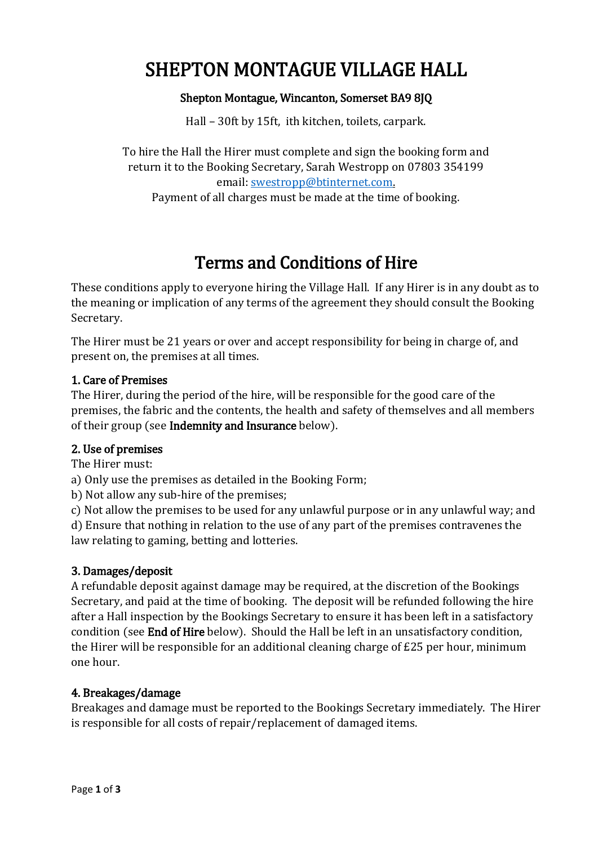# SHEPTON MONTAGUE VILLAGE HALL

#### Shepton Montague, Wincanton, Somerset BA9 8JQ

Hall – 30ft by 15ft, ith kitchen, toilets, carpark.

To hire the Hall the Hirer must complete and sign the booking form and return it to the Booking Secretary, Sarah Westropp on 07803 354199 email: [swestropp@btinternet.com.](mailto:swestropp@btinternet.com)

Payment of all charges must be made at the time of booking.

## Terms and Conditions of Hire

These conditions apply to everyone hiring the Village Hall. If any Hirer is in any doubt as to the meaning or implication of any terms of the agreement they should consult the Booking Secretary.

The Hirer must be 21 years or over and accept responsibility for being in charge of, and present on, the premises at all times.

#### 1. Care of Premises

The Hirer, during the period of the hire, will be responsible for the good care of the premises, the fabric and the contents, the health and safety of themselves and all members of their group (see Indemnity and Insurance below).

#### 2. Use of premises

The Hirer must:

a) Only use the premises as detailed in the Booking Form;

b) Not allow any sub-hire of the premises;

c) Not allow the premises to be used for any unlawful purpose or in any unlawful way; and d) Ensure that nothing in relation to the use of any part of the premises contravenes the law relating to gaming, betting and lotteries.

#### 3. Damages/deposit

A refundable deposit against damage may be required, at the discretion of the Bookings Secretary, and paid at the time of booking. The deposit will be refunded following the hire after a Hall inspection by the Bookings Secretary to ensure it has been left in a satisfactory condition (see End of Hire below). Should the Hall be left in an unsatisfactory condition, the Hirer will be responsible for an additional cleaning charge of £25 per hour, minimum one hour.

#### 4. Breakages/damage

Breakages and damage must be reported to the Bookings Secretary immediately. The Hirer is responsible for all costs of repair/replacement of damaged items.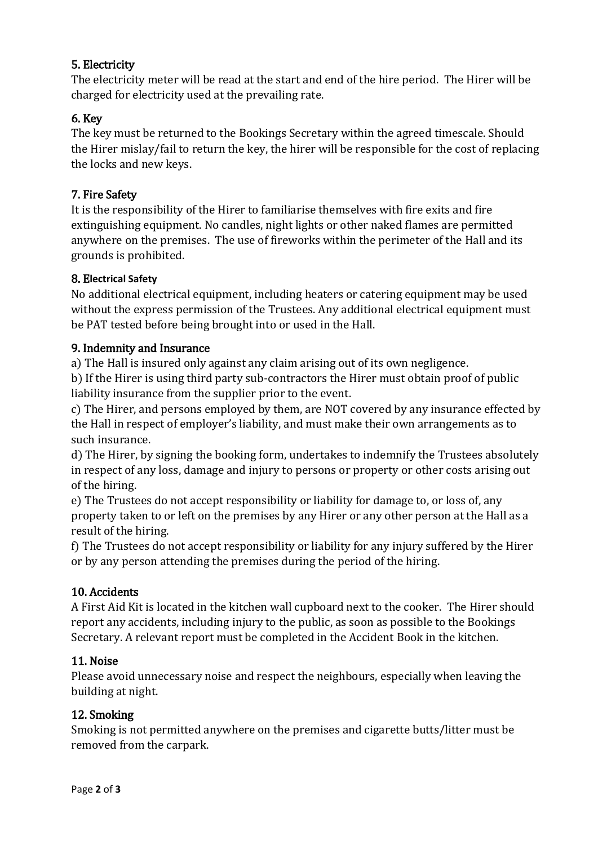## 5. Electricity

The electricity meter will be read at the start and end of the hire period. The Hirer will be charged for electricity used at the prevailing rate.

## 6. Key

The key must be returned to the Bookings Secretary within the agreed timescale. Should the Hirer mislay/fail to return the key, the hirer will be responsible for the cost of replacing the locks and new keys.

## 7. Fire Safety

It is the responsibility of the Hirer to familiarise themselves with fire exits and fire extinguishing equipment. No candles, night lights or other naked flames are permitted anywhere on the premises. The use of fireworks within the perimeter of the Hall and its grounds is prohibited.

#### 8. E**lectrical Safety**

No additional electrical equipment, including heaters or catering equipment may be used without the express permission of the Trustees. Any additional electrical equipment must be PAT tested before being brought into or used in the Hall.

#### 9. Indemnity and Insurance

a) The Hall is insured only against any claim arising out of its own negligence.

b) If the Hirer is using third party sub-contractors the Hirer must obtain proof of public liability insurance from the supplier prior to the event.

c) The Hirer, and persons employed by them, are NOT covered by any insurance effected by the Hall in respect of employer's liability, and must make their own arrangements as to such insurance.

d) The Hirer, by signing the booking form, undertakes to indemnify the Trustees absolutely in respect of any loss, damage and injury to persons or property or other costs arising out of the hiring.

e) The Trustees do not accept responsibility or liability for damage to, or loss of, any property taken to or left on the premises by any Hirer or any other person at the Hall as a result of the hiring.

f) The Trustees do not accept responsibility or liability for any injury suffered by the Hirer or by any person attending the premises during the period of the hiring.

## 10. Accidents

A First Aid Kit is located in the kitchen wall cupboard next to the cooker. The Hirer should report any accidents, including injury to the public, as soon as possible to the Bookings Secretary. A relevant report must be completed in the Accident Book in the kitchen.

#### 11. Noise

Please avoid unnecessary noise and respect the neighbours, especially when leaving the building at night.

#### 12. Smoking

Smoking is not permitted anywhere on the premises and cigarette butts/litter must be removed from the carpark.